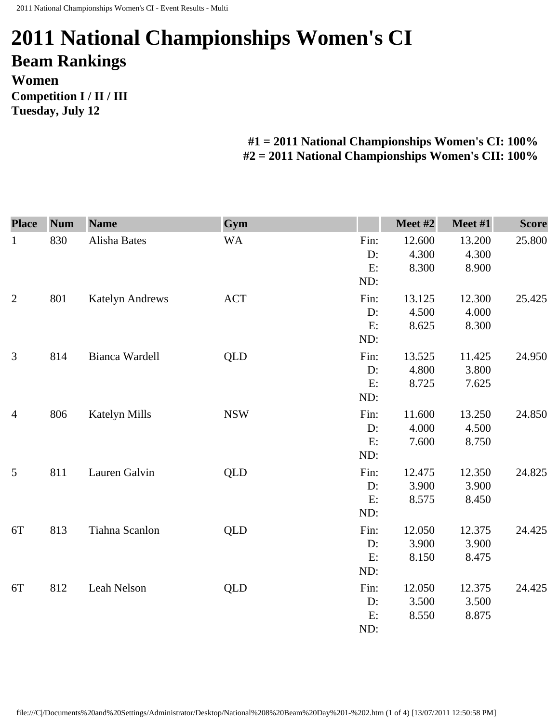## **2011 National Championships Women's CI Beam Rankings Women Competition I / II / III Tuesday, July 12**

## **#1 = 2011 National Championships Women's CI: 100% #2 = 2011 National Championships Women's CII: 100%**

| <b>Place</b>   | <b>Num</b> | <b>Name</b>            | Gym        |       | Meet #2 | Meet #1 | <b>Score</b> |
|----------------|------------|------------------------|------------|-------|---------|---------|--------------|
| $\mathbf{1}$   | 830        | Alisha Bates           | <b>WA</b>  | Fin:  | 12.600  | 13.200  | 25.800       |
|                |            |                        |            | D:    | 4.300   | 4.300   |              |
|                |            |                        |            | E:    | 8.300   | 8.900   |              |
|                |            |                        |            | ND:   |         |         |              |
| $\overline{2}$ | 801        | <b>Katelyn Andrews</b> | <b>ACT</b> | Fin:  | 13.125  | 12.300  | 25.425       |
|                |            |                        |            | D:    | 4.500   | 4.000   |              |
|                |            |                        |            | E:    | 8.625   | 8.300   |              |
|                |            |                        |            | ND:   |         |         |              |
| 3              | 814        | Bianca Wardell         | QLD        | Fin:  | 13.525  | 11.425  | 24.950       |
|                |            |                        |            | D:    | 4.800   | 3.800   |              |
|                |            |                        |            | E:    | 8.725   | 7.625   |              |
|                |            |                        |            | ND:   |         |         |              |
| $\overline{4}$ | 806        | <b>Katelyn Mills</b>   | <b>NSW</b> | Fin:  | 11.600  | 13.250  | 24.850       |
|                |            |                        |            | D:    | 4.000   | 4.500   |              |
|                |            |                        |            | E:    | 7.600   | 8.750   |              |
|                |            |                        |            | ND:   |         |         |              |
| 5              | 811        | Lauren Galvin          | <b>QLD</b> | Fin:  | 12.475  | 12.350  | 24.825       |
|                |            |                        |            | D:    | 3.900   | 3.900   |              |
|                |            |                        |            | E:    | 8.575   | 8.450   |              |
|                |            |                        |            | ND:   |         |         |              |
| 6T             | 813        | Tiahna Scanlon         | <b>QLD</b> | Fin:  | 12.050  | 12.375  | 24.425       |
|                |            |                        |            | $D$ : | 3.900   | 3.900   |              |
|                |            |                        |            | E:    | 8.150   | 8.475   |              |
|                |            |                        |            | ND:   |         |         |              |
| 6T             | 812        | Leah Nelson            | <b>QLD</b> | Fin:  | 12.050  | 12.375  | 24.425       |
|                |            |                        |            | D:    | 3.500   | 3.500   |              |
|                |            |                        |            | E:    | 8.550   | 8.875   |              |
|                |            |                        |            | ND:   |         |         |              |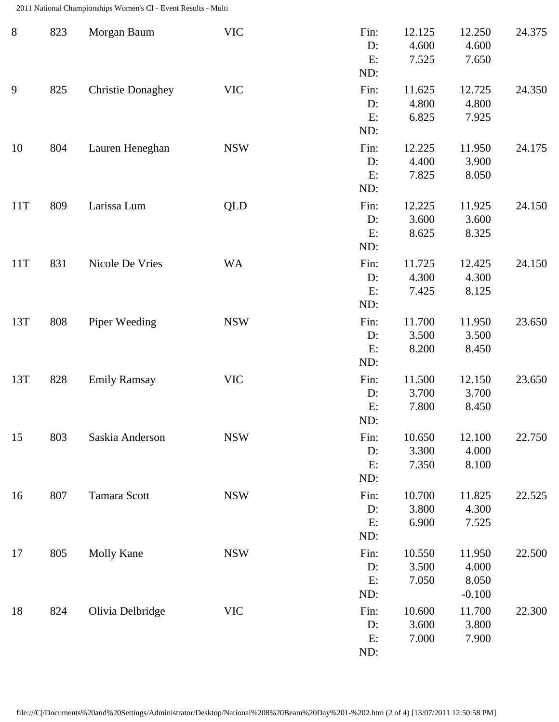2011 National Championships Women's CI - Event Results - Multi

| $8\,$ | 823 | Morgan Baum              | <b>VIC</b> | Fin:<br>D:<br>E:<br>ND: | 12.125<br>4.600<br>7.525 | 12.250<br>4.600<br>7.650             | 24.375 |
|-------|-----|--------------------------|------------|-------------------------|--------------------------|--------------------------------------|--------|
| 9     | 825 | <b>Christie Donaghey</b> | <b>VIC</b> | Fin:<br>D:<br>E:<br>ND: | 11.625<br>4.800<br>6.825 | 12.725<br>4.800<br>7.925             | 24.350 |
| 10    | 804 | Lauren Heneghan          | <b>NSW</b> | Fin:<br>D:<br>E:<br>ND: | 12.225<br>4.400<br>7.825 | 11.950<br>3.900<br>8.050             | 24.175 |
| 11T   | 809 | Larissa Lum              | <b>QLD</b> | Fin:<br>D:<br>E:<br>ND: | 12.225<br>3.600<br>8.625 | 11.925<br>3.600<br>8.325             | 24.150 |
| 11T   | 831 | Nicole De Vries          | <b>WA</b>  | Fin:<br>D:<br>E:<br>ND: | 11.725<br>4.300<br>7.425 | 12.425<br>4.300<br>8.125             | 24.150 |
| 13T   | 808 | Piper Weeding            | <b>NSW</b> | Fin:<br>D:<br>E:<br>ND: | 11.700<br>3.500<br>8.200 | 11.950<br>3.500<br>8.450             | 23.650 |
| 13T   | 828 | <b>Emily Ramsay</b>      | <b>VIC</b> | Fin:<br>D:<br>E:<br>ND: | 11.500<br>3.700<br>7.800 | 12.150<br>3.700<br>8.450             | 23.650 |
| 15    | 803 | Saskia Anderson          | <b>NSW</b> | Fin:<br>D:<br>E:<br>ND: | 10.650<br>3.300<br>7.350 | 12.100<br>4.000<br>8.100             | 22.750 |
| 16    | 807 | Tamara Scott             | <b>NSW</b> | Fin:<br>D:<br>E:<br>ND: | 10.700<br>3.800<br>6.900 | 11.825<br>4.300<br>7.525             | 22.525 |
| 17    | 805 | Molly Kane               | <b>NSW</b> | Fin:<br>D:<br>E:<br>ND: | 10.550<br>3.500<br>7.050 | 11.950<br>4.000<br>8.050<br>$-0.100$ | 22.500 |
| 18    | 824 | Olivia Delbridge         | <b>VIC</b> | Fin:<br>D:<br>E:<br>ND: | 10.600<br>3.600<br>7.000 | 11.700<br>3.800<br>7.900             | 22.300 |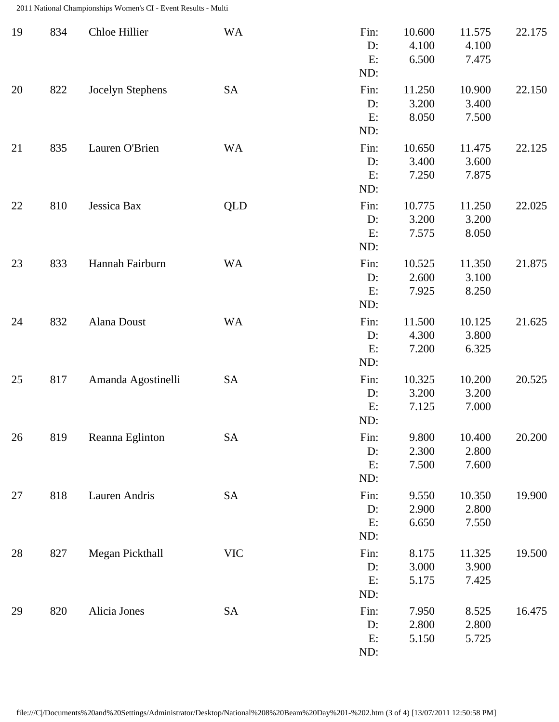2011 National Championships Women's CI - Event Results - Multi

| 19 | 834 | Chloe Hillier      | <b>WA</b>  | Fin:<br>D:<br>E:<br>ND:    | 10.600<br>4.100<br>6.500 | 11.575<br>4.100<br>7.475 | 22.175 |
|----|-----|--------------------|------------|----------------------------|--------------------------|--------------------------|--------|
| 20 | 822 | Jocelyn Stephens   | <b>SA</b>  | Fin:<br>$D$ :<br>E:<br>ND: | 11.250<br>3.200<br>8.050 | 10.900<br>3.400<br>7.500 | 22.150 |
| 21 | 835 | Lauren O'Brien     | <b>WA</b>  | Fin:<br>$D$ :<br>E:<br>ND: | 10.650<br>3.400<br>7.250 | 11.475<br>3.600<br>7.875 | 22.125 |
| 22 | 810 | Jessica Bax        | <b>QLD</b> | Fin:<br>D:<br>E:<br>ND:    | 10.775<br>3.200<br>7.575 | 11.250<br>3.200<br>8.050 | 22.025 |
| 23 | 833 | Hannah Fairburn    | <b>WA</b>  | Fin:<br>$D$ :<br>E:<br>ND: | 10.525<br>2.600<br>7.925 | 11.350<br>3.100<br>8.250 | 21.875 |
| 24 | 832 | Alana Doust        | <b>WA</b>  | Fin:<br>D:<br>E:<br>ND:    | 11.500<br>4.300<br>7.200 | 10.125<br>3.800<br>6.325 | 21.625 |
| 25 | 817 | Amanda Agostinelli | <b>SA</b>  | Fin:<br>$D$ :<br>E:<br>ND: | 10.325<br>3.200<br>7.125 | 10.200<br>3.200<br>7.000 | 20.525 |
| 26 | 819 | Reanna Eglinton    | <b>SA</b>  | Fin:<br>D:<br>E:<br>ND:    | 9.800<br>2.300<br>7.500  | 10.400<br>2.800<br>7.600 | 20.200 |
| 27 | 818 | Lauren Andris      | <b>SA</b>  | Fin:<br>D:<br>E:<br>ND:    | 9.550<br>2.900<br>6.650  | 10.350<br>2.800<br>7.550 | 19.900 |
| 28 | 827 | Megan Pickthall    | <b>VIC</b> | Fin:<br>$D$ :<br>E:<br>ND: | 8.175<br>3.000<br>5.175  | 11.325<br>3.900<br>7.425 | 19.500 |
| 29 | 820 | Alicia Jones       | <b>SA</b>  | Fin:<br>D:<br>E:<br>ND:    | 7.950<br>2.800<br>5.150  | 8.525<br>2.800<br>5.725  | 16.475 |